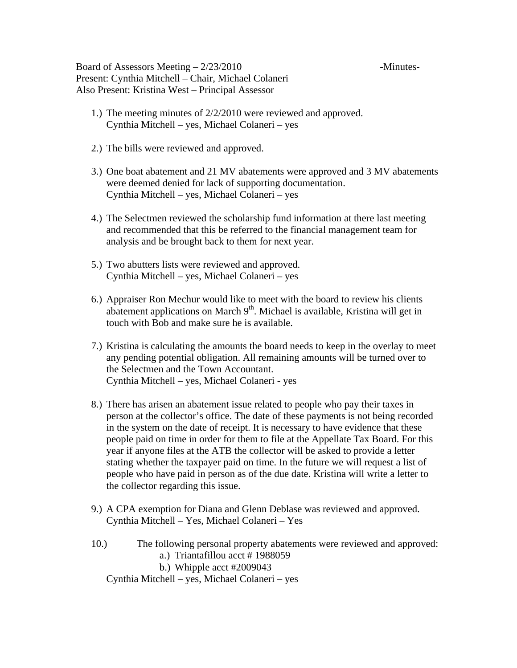Board of Assessors Meeting  $-2/23/2010$  -Minutes-Present: Cynthia Mitchell – Chair, Michael Colaneri Also Present: Kristina West – Principal Assessor

- 1.) The meeting minutes of 2/2/2010 were reviewed and approved. Cynthia Mitchell – yes, Michael Colaneri – yes
- 2.) The bills were reviewed and approved.
- 3.) One boat abatement and 21 MV abatements were approved and 3 MV abatements were deemed denied for lack of supporting documentation. Cynthia Mitchell – yes, Michael Colaneri – yes
- 4.) The Selectmen reviewed the scholarship fund information at there last meeting and recommended that this be referred to the financial management team for analysis and be brought back to them for next year.
- 5.) Two abutters lists were reviewed and approved. Cynthia Mitchell – yes, Michael Colaneri – yes
- 6.) Appraiser Ron Mechur would like to meet with the board to review his clients abatement applications on March  $9<sup>th</sup>$ . Michael is available, Kristina will get in touch with Bob and make sure he is available.
- 7.) Kristina is calculating the amounts the board needs to keep in the overlay to meet any pending potential obligation. All remaining amounts will be turned over to the Selectmen and the Town Accountant. Cynthia Mitchell – yes, Michael Colaneri - yes
- 8.) There has arisen an abatement issue related to people who pay their taxes in person at the collector's office. The date of these payments is not being recorded in the system on the date of receipt. It is necessary to have evidence that these people paid on time in order for them to file at the Appellate Tax Board. For this year if anyone files at the ATB the collector will be asked to provide a letter stating whether the taxpayer paid on time. In the future we will request a list of people who have paid in person as of the due date. Kristina will write a letter to the collector regarding this issue.
- 9.) A CPA exemption for Diana and Glenn Deblase was reviewed and approved. Cynthia Mitchell – Yes, Michael Colaneri – Yes
- 10.) The following personal property abatements were reviewed and approved: a.) Triantafillou acct # 1988059 b.) Whipple acct #2009043 Cynthia Mitchell – yes, Michael Colaneri – yes